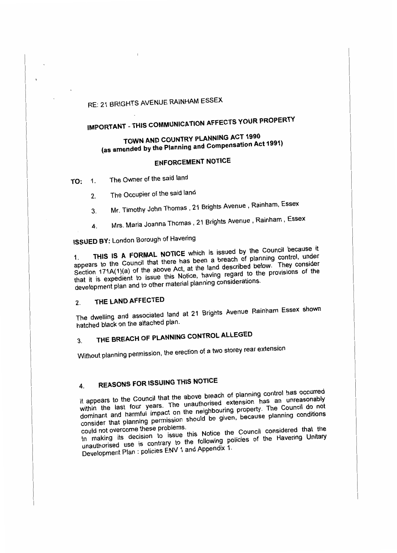# RE: 21 BRIGHTS AVENUE RAINHAM ESSEX

# **IMPORT ANT - THIS COMMUNICATION AFFECTS YOUR PROPERTY THE AND COUNTRY PLANNING ACT 19** amended by the Planning and Competition **Act 1991**

# **ENFORCEMENT NOTICE**

**TO:** 1. The Owner of the said land

The Occupier of the said land  $2.$ 

- Mr. Timothy John Thomas, 21 Brights Avenue, Rainham, Essex 3.
- Mrs. Maria Joanna Thomas, 21 Brights Avenue, Rainham, Essex 4.

**ISSUED BY:** London Borough of Havering<br>1. THIS IS A FORMAL NOTICE which is issued by the Council because it appears to the Council that there has been a breach of planning control, under pears to the Council that there has been and described below. They consider  $S_{\rm E}$  above AC(1)(a) of the above Act, at the having regard to the provisions of the that it is expedient to issue this Notice, having regard to the provisions of the development plan and to other material planning considerations.

## 2. **THE LAND AFFECTED**

 $\theta$  dwelling and associated land at 21 Brights Avenue Rainham Essex shown at  $\theta$ hatched black on the attached plan.

# 3. **THE BREACH OF PLANNING CONTROL ALLEGED**

Without planning permission, the erection of a two storey rear extension

4. **REASONS FOR ISSUING THIS NOTICE**<br>It appears to the Council that the above breach of planning control has occurred It appears to the Council that the unsurborised extension has an unreasonably within the last four years. The unconsideration property. The Council do not dominant and harmful impact on the neighbouring property. The Council do not consider that planning permission should be given, because planning conditions<br>could not overcome these problems.

could not overcome these problems. In making its decision to issue this following policies of the Havering Unitary unauthorised use is contrary to the following policies of the Havering Unitary Development Plan : policies ENV 1 and Appendix 1.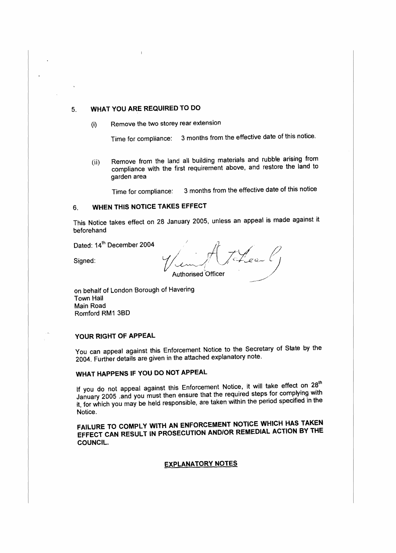## 5. **WHAT YOU ARE REQUIRED TO DO**

(i) Remove the two storey rear extension

Time for compliance: 3 months from the effective date of this notice.

(ii) Remove from the land all building materials and rubble arising from compliance with the first requirement above, and restore the land to garden area

Time for compliance: 3 months from the effective date of this notice

## 6. **WHEN THIS NOTICE TAKES EFFECT**

This Notice takes effect on 28 January 2005, unless an appeal is made against it beforehand

Dated: 14th December 2004 / *I* . */.( -:r-\.* / /J Dated: 14" December 2004<br>Signed:  $\frac{1}{\sqrt{2\pi}}\int\frac{1}{\sqrt{2\pi}}\int\frac{1}{\sqrt{2\pi}}$ 

on behalf of London Borough of Havering Town Hall Main Road Romford RM1 3BD

#### **YOUR RIGHT OF APPEAL**

You can appeal against this Enforcement Notice to the Secretary of State by the 2004. Further details are given in the attached explanatory note.

### **WHAT HAPPENS IF YOU DO NOT APPEAL**

If you do not appeal against this Enforcement Notice, it will take effect on 28<sup>th</sup> January 2005 .and you must then ensure that the required steps for complying with it, for which you may be held responsible, are taken within the period specified in the Notice.

**FAILURE TO COMPLY WITH AN ENFORCEMENT NOTICE WHICH HAS TAKEN EFFECT CAN RESULT IN PROSECUTION AND/OR REMEDIAL ACTION BY THE COUNCIL.** 

### EXPLANATORY NOTES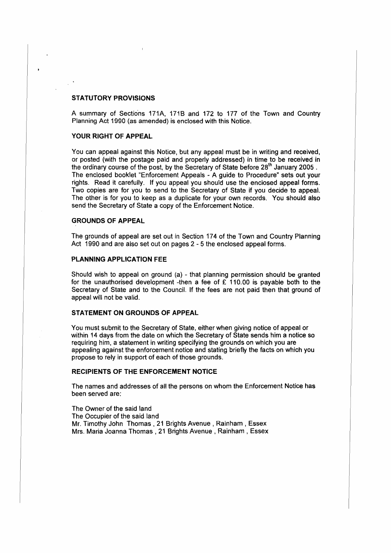#### **STATUTORY PROVISIONS**

A summary of Sections 171A, 171B and 172 to 177 of the Town and Country Planning Act 1990 (as amended) is enclosed with this Notice.

#### **YOUR RIGHT OF APPEAL**

You can appeal against this Notice, but any appeal must be in writing and received, or posted (with the postage paid and properly addressed) in time to be received in the ordinary course of the post, by the Secretary of State before 28<sup>th</sup> January 2005. The enclosed booklet "Enforcement Appeals - A guide to Procedure" sets out your rights. Read it carefully. If you appeal you should use the enclosed appeal forms. Two copies are for you to send to the Secretary of State if you decide to appeal. The other is for you to keep as a duplicate for your own records. You should also send the Secretary of State a copy of the Enforcement Notice.

#### **GROUNDS OF APPEAL**

The grounds of appeal are set out in Section 174 of the Town and Country Planning Act 1990 and are also set out on pages 2 - 5 the enclosed appeal forms.

#### **PLANNING APPLICATION** FEE

Should wish to appeal on ground (a) - that planning permission should be granted for the unauthorised development -then a fee of  $E$  110.00 is payable both to the Secretary of State and to the Council. If the fees are not paid then that ground of appeal will not be valid.

#### **STATEMENT ON GROUNDS OF APPEAL**

You must submit to the Secretary of State, either when giving notice of appeal or within 14 days from the date on which the Secretary of State sends him a notice so requiring him, a statement in writing specifying the grounds on which you are appealing against the enforcement notice and stating briefly the facts on which you propose to rely in support of each of those grounds.

#### **RECIPIENTS OF THE ENFORCEMENT NOTICE**

The names and addresses of all the persons on whom the Enforcement Notice has been served are:

The Owner of **the said** land The Occupier of the said land Mr. Timothy John Thomas, 21 Brights Avenue, Rainham, Essex Mrs. Maria Joanna Thomas , 21 Brights Avenue , Rainham , Essex